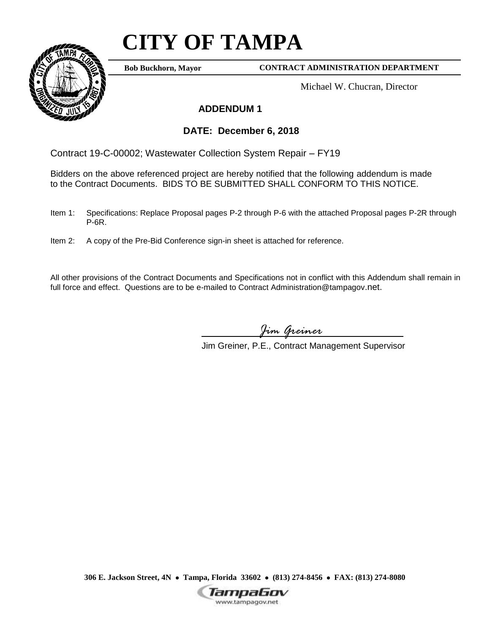## **CITY OF TAMPA**



**Bob Buckhorn, Mayor**

**CONTRACT ADMINISTRATION DEPARTMENT**

Michael W. Chucran, Director

## **ADDENDUM 1**

## **DATE: December 6, 2018**

Contract 19-C-00002; Wastewater Collection System Repair – FY19

Bidders on the above referenced project are hereby notified that the following addendum is made to the Contract Documents. BIDS TO BE SUBMITTED SHALL CONFORM TO THIS NOTICE.

- Item 1: Specifications: Replace Proposal pages P-2 through P-6 with the attached Proposal pages P-2R through P-6R.
- Item 2: A copy of the Pre-Bid Conference sign-in sheet is attached for reference.

All other provisions of the Contract Documents and Specifications not in conflict with this Addendum shall remain in full force and effect. Questions are to be e-mailed to Contract Administration@tampagov.net.

*Jim Greiner*

Jim Greiner, P.E., Contract Management Supervisor

**306 E. Jackson Street, 4N Tampa, Florida 33602 (813) 274-8456 FAX: (813) 274-8080**

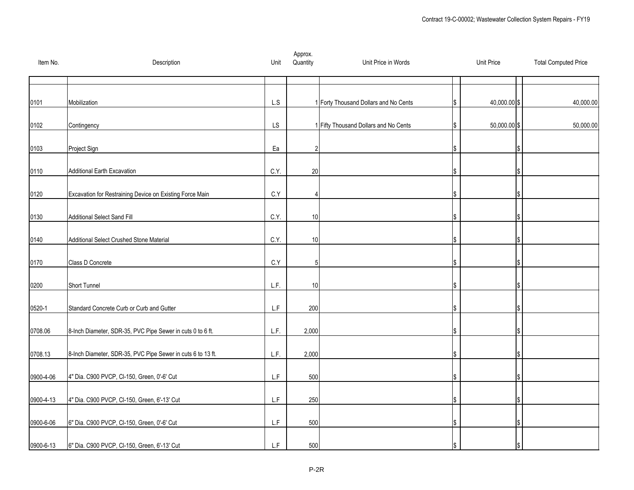| Item No.   | Description                                                 | Unit                    | Approx.<br>Quantity | Unit Price in Words                   | <b>Unit Price</b> | <b>Total Computed Price</b> |
|------------|-------------------------------------------------------------|-------------------------|---------------------|---------------------------------------|-------------------|-----------------------------|
|            |                                                             |                         |                     |                                       |                   |                             |
| 0101       | Mobilization                                                | L.S                     |                     | 1 Forty Thousand Dollars and No Cents | 40,000.00 \$      | 40,000.00                   |
| 0102       | Contingency                                                 | LS                      |                     | 1 Fifty Thousand Dollars and No Cents | 50,000.00 \$      | 50,000.00                   |
| 0103       | Project Sign                                                | Ea                      | $\overline{2}$      |                                       |                   |                             |
| 0110       | <b>Additional Earth Excavation</b>                          | C.Y.                    | 20                  |                                       |                   |                             |
|            |                                                             |                         |                     |                                       |                   |                             |
| 0120       | Excavation for Restraining Device on Existing Force Main    | C.Y                     | $\overline{4}$      |                                       |                   |                             |
| 0130       | Additional Select Sand Fill                                 | C.Y.                    | 10                  |                                       |                   |                             |
| 0140       | Additional Select Crushed Stone Material                    | C.Y.                    | 10                  |                                       |                   |                             |
| 0170       | Class D Concrete                                            | $\mathsf{C}.\mathsf{Y}$ | 5                   |                                       |                   |                             |
| 0200       | Short Tunnel                                                | L.F.                    | 10                  |                                       |                   |                             |
|            |                                                             |                         |                     |                                       |                   |                             |
| $0520 - 1$ | Standard Concrete Curb or Curb and Gutter                   | L.F                     | 200                 |                                       |                   |                             |
| 0708.06    | 8-Inch Diameter, SDR-35, PVC Pipe Sewer in cuts 0 to 6 ft.  | L.F.                    | 2,000               |                                       |                   |                             |
| 0708.13    | 8-Inch Diameter, SDR-35, PVC Pipe Sewer in cuts 6 to 13 ft. | L.F.                    | 2,000               |                                       |                   |                             |
| 0900-4-06  | 4" Dia. C900 PVCP, CI-150, Green, 0'-6' Cut                 | L.F                     | 500                 |                                       |                   |                             |
|            |                                                             |                         |                     |                                       |                   |                             |
| 0900-4-13  | 4" Dia. C900 PVCP, CI-150, Green, 6'-13' Cut                | L.F                     | 250                 |                                       |                   |                             |
| 0900-6-06  | 6" Dia. C900 PVCP, Cl-150, Green, 0'-6' Cut                 | L.F                     | 500                 |                                       |                   |                             |
| 0900-6-13  | 6" Dia. C900 PVCP, CI-150, Green, 6'-13' Cut                | L.F                     | 500                 |                                       |                   |                             |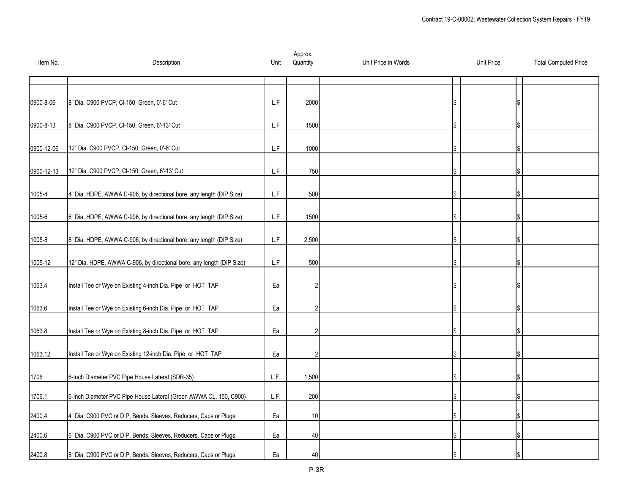| Item No.   | Description                                                           | Unit                    | Approx.<br>Quantity | Unit Price in Words | <b>Unit Price</b> | <b>Total Computed Price</b> |
|------------|-----------------------------------------------------------------------|-------------------------|---------------------|---------------------|-------------------|-----------------------------|
|            |                                                                       |                         |                     |                     |                   |                             |
| 0900-8-06  | 8" Dia. C900 PVCP, CI-150, Green, 0'-6' Cut                           | $\mathsf{L}.\mathsf{F}$ | 2000                |                     |                   |                             |
| 0900-8-13  | 8" Dia. C900 PVCP, CI-150, Green, 6'-13' Cut                          | L.F                     | 1500                |                     |                   |                             |
| 0900-12-06 | 12" Dia. C900 PVCP, CI-150, Green, 0'-6' Cut                          | L.F                     | 1000                |                     |                   |                             |
| 0900-12-13 | 12" Dia. C900 PVCP, CI-150, Green, 6'-13' Cut                         | ${\sf L.F}$             | 750                 |                     |                   |                             |
| 1005-4     | 4" Dia. HDPE, AWWA C-906, by directional bore, any length (DIP Size)  | L.F                     | 500                 |                     |                   |                             |
| 1005-6     | 6" Dia. HDPE, AWWA C-906, by directional bore, any length (DIP Size)  | L.F                     | 1500                |                     |                   |                             |
| 1005-8     | 8" Dia. HDPE, AWWA C-906, by directional bore, any length (DIP Size)  | $\mathsf{L}.\mathsf{F}$ | 2,500               |                     |                   |                             |
| 1005-12    | 12" Dia. HDPE, AWWA C-906, by directional bore, any length (DIP Size) | ${\sf L.F}$             | 500                 |                     |                   |                             |
| 1063.4     | Install Tee or Wye on Existing 4-inch Dia. Pipe or HOT TAP            | Ea                      | $\mathfrak{p}$      |                     |                   |                             |
| 1063.6     | Install Tee or Wye on Existing 6-inch Dia. Pipe or HOT TAP            | Ea                      |                     |                     |                   |                             |
| 1063.8     | Install Tee or Wye on Existing 8-inch Dia. Pipe or HOT TAP            | Ea                      |                     |                     |                   |                             |
| 1063.12    | Install Tee or Wye on Existing 12-inch Dia. Pipe or HOT TAP           | Ea                      |                     |                     |                   |                             |
| 1706       | 6-Inch Diameter PVC Pipe House Lateral (SDR-35)                       | L.F.                    | 1,500               |                     |                   |                             |
| 1706.1     | 6-Inch Diameter PVC Pipe House Lateral (Green AWWA CL. 150, C900)     | L.F.                    | 200                 |                     |                   |                             |
| 2400.4     | 4" Dia. C900 PVC or DIP, Bends, Sleeves, Reducers, Caps or Plugs      | Ea                      | 10                  |                     |                   |                             |
| 2400.6     | 6" Dia. C900 PVC or DIP, Bends, Sleeves, Reducers, Caps or Plugs      | Ea                      | 40                  |                     |                   |                             |
| 2400.8     | 8" Dia. C900 PVC or DIP, Bends, Sleeves, Reducers, Caps or Plugs      | Ea                      | 40                  |                     |                   |                             |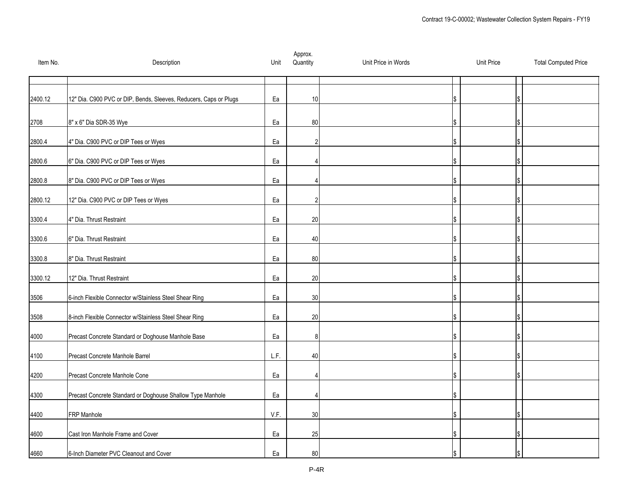| Item No. | Description                                                       | Unit | Approx.<br>Quantity | Unit Price in Words | <b>Unit Price</b> | <b>Total Computed Price</b> |
|----------|-------------------------------------------------------------------|------|---------------------|---------------------|-------------------|-----------------------------|
|          |                                                                   |      |                     |                     |                   |                             |
| 2400.12  | 12" Dia. C900 PVC or DIP, Bends, Sleeves, Reducers, Caps or Plugs | Ea   | 10                  |                     |                   |                             |
| 2708     | 8" x 6" Dia SDR-35 Wye                                            | Ea   | 80                  |                     |                   |                             |
| 2800.4   | 4" Dia. C900 PVC or DIP Tees or Wyes                              | Ea   | 2                   |                     |                   |                             |
| 2800.6   | 6" Dia. C900 PVC or DIP Tees or Wyes                              | Ea   |                     |                     |                   |                             |
| 2800.8   | 8" Dia. C900 PVC or DIP Tees or Wyes                              | Ea   |                     |                     |                   |                             |
| 2800.12  | 12" Dia. C900 PVC or DIP Tees or Wyes                             | Ea   |                     |                     |                   |                             |
| 3300.4   | 4" Dia. Thrust Restraint                                          | Ea   | 20                  |                     |                   |                             |
| 3300.6   | 6" Dia. Thrust Restraint                                          | Ea   | 40                  |                     |                   |                             |
| 3300.8   | 8" Dia. Thrust Restraint                                          | Ea   | 80                  |                     |                   |                             |
| 3300.12  | 12" Dia. Thrust Restraint                                         | Ea   | 20                  |                     |                   |                             |
| 3506     | 6-inch Flexible Connector w/Stainless Steel Shear Ring            | Ea   | 30                  |                     |                   |                             |
| 3508     | 8-inch Flexible Connector w/Stainless Steel Shear Ring            | Ea   | 20                  |                     |                   |                             |
| 4000     | Precast Concrete Standard or Doghouse Manhole Base                | Ea   | 8                   |                     |                   |                             |
| 4100     | Precast Concrete Manhole Barrel                                   | L.F. | 40                  |                     |                   |                             |
| 4200     | Precast Concrete Manhole Cone                                     | Ea   |                     |                     |                   |                             |
| 4300     | Precast Concrete Standard or Doghouse Shallow Type Manhole        | Ea   |                     |                     |                   |                             |
| 4400     | <b>FRP Manhole</b>                                                | V.F. | 30                  |                     |                   |                             |
| 4600     | Cast Iron Manhole Frame and Cover                                 | Ea   | 25                  |                     |                   |                             |
| 4660     | 6-Inch Diameter PVC Cleanout and Cover                            | Ea   | 80                  |                     |                   |                             |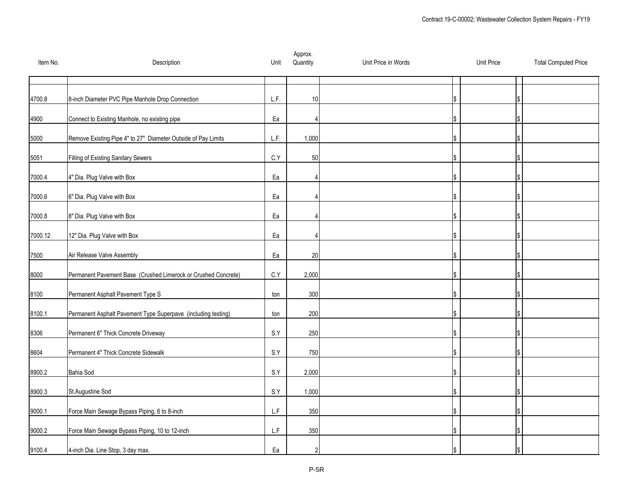| Item No. | Description                                                    | Unit        | Approx.<br>Quantity | Unit Price in Words | <b>Unit Price</b> | <b>Total Computed Price</b> |
|----------|----------------------------------------------------------------|-------------|---------------------|---------------------|-------------------|-----------------------------|
|          |                                                                |             |                     |                     |                   |                             |
| 4700.8   | 8-inch Diameter PVC Pipe Manhole Drop Connection               | L.F.        | 10                  |                     |                   |                             |
| 4900     | Connect to Existing Manhole, no existing pipe                  | Ea          |                     |                     |                   |                             |
| 5000     | Remove Existing Pipe 4" to 27" Diameter Outside of Pay Limits  | L.F.        | 1,000               |                     |                   |                             |
| 5051     | Filling of Existing Sanitary Sewers                            | C.Y         | 50                  |                     |                   |                             |
| 7000.4   | 4" Dia. Plug Valve with Box                                    | Ea          |                     |                     |                   |                             |
| 7000.6   | 6" Dia. Plug Valve with Box                                    | Ea          |                     |                     |                   |                             |
| 7000.8   | 8" Dia. Plug Valve with Box                                    | Ea          |                     |                     |                   |                             |
| 7000.12  | 12" Dia. Plug Valve with Box                                   | Ea          |                     |                     |                   |                             |
| 7500     | Air Release Valve Assembly                                     | Ea          | 20                  |                     |                   |                             |
| 8000     | Permanent Pavement Base (Crushed Limerock or Crushed Concrete) | C.Y         | 2,000               |                     |                   |                             |
| 8100     | Permanent Asphalt Pavement Type S                              | ton         | 300                 |                     |                   |                             |
| 8100.1   | Permanent Asphalt Pavement Type Superpave (including testing)  | ton         | 200                 |                     |                   |                             |
| 8306     | Permanent 6" Thick Concrete Driveway                           | S.Y         | 250                 |                     |                   |                             |
| 8604     | Permanent 4" Thick Concrete Sidewalk                           | S.Y         | 750                 |                     |                   |                             |
| 8900.2   | <b>Bahia Sod</b>                                               | S.Y         | 2,000               |                     |                   |                             |
| 8900.3   | St.Augustine Sod                                               | S.Y         | 1,000               |                     |                   |                             |
| 9000.1   | Force Main Sewage Bypass Piping, 6 to 8-inch                   | L.F         | 350                 |                     |                   |                             |
| 9000.2   | Force Main Sewage Bypass Piping, 10 to 12-inch                 | ${\sf L.F}$ | 350                 |                     |                   |                             |
| 9100.4   | 4-inch Dia. Line Stop, 3 day max.                              | Ea          | 2                   |                     |                   |                             |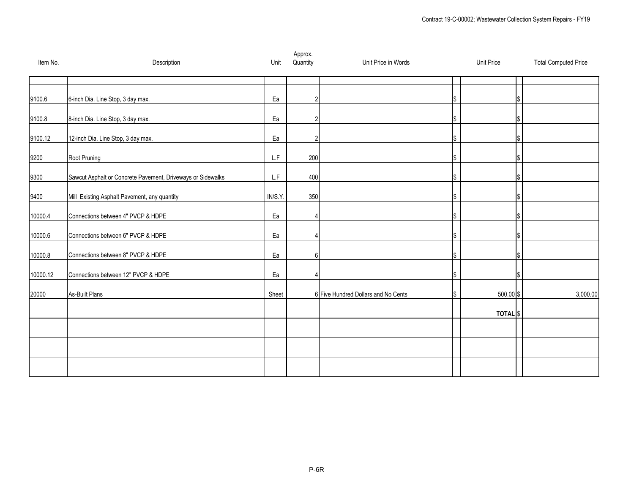| Item No. | Description                                                 | Unit                    | Approx.<br>Quantity | Unit Price in Words                 | <b>Unit Price</b> | <b>Total Computed Price</b> |
|----------|-------------------------------------------------------------|-------------------------|---------------------|-------------------------------------|-------------------|-----------------------------|
| 9100.6   | 6-inch Dia. Line Stop, 3 day max.                           | Ea                      | $\overline{2}$      |                                     |                   |                             |
| 9100.8   | 8-inch Dia. Line Stop, 3 day max.                           | Ea                      | $\overline{2}$      |                                     |                   |                             |
| 9100.12  | 12-inch Dia. Line Stop, 3 day max.                          | Ea                      | 2                   |                                     |                   |                             |
| 9200     | Root Pruning                                                | $\mathsf{L}.\mathsf{F}$ | 200                 |                                     |                   |                             |
| 9300     | Sawcut Asphalt or Concrete Pavement, Driveways or Sidewalks | $\mathsf{L}.\mathsf{F}$ | 400                 |                                     |                   |                             |
| 9400     | Mill Existing Asphalt Pavement, any quantity                | IN/S.Y.                 | 350                 |                                     |                   |                             |
| 10000.4  | Connections between 4" PVCP & HDPE                          | Ea                      |                     |                                     |                   |                             |
| 10000.6  | Connections between 6" PVCP & HDPE                          | Ea                      | Δ                   |                                     |                   |                             |
| 10000.8  | Connections between 8" PVCP & HDPE                          | Ea                      | 6                   |                                     |                   |                             |
| 10000.12 | Connections between 12" PVCP & HDPE                         | Ea                      |                     |                                     |                   |                             |
| 20000    | As-Built Plans                                              | Sheet                   |                     | 6 Five Hundred Dollars and No Cents | 500.00 \$         | 3,000.00                    |
|          |                                                             |                         |                     |                                     | <b>TOTAL</b> S    |                             |
|          |                                                             |                         |                     |                                     |                   |                             |
|          |                                                             |                         |                     |                                     |                   |                             |
|          |                                                             |                         |                     |                                     |                   |                             |